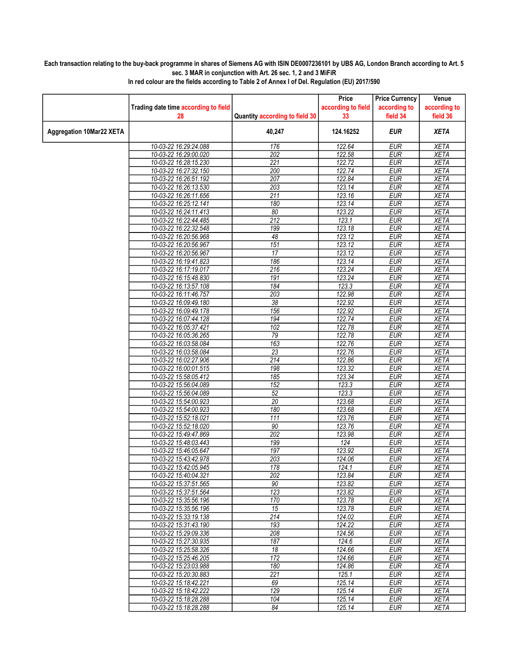## Each transaction relating to the buy-back programme in shares of Siemens AG with ISIN DE0007236101 by UBS AG, London Branch according to Art. 5 sec. 3 MAR in conjunction with Art. 26 sec. 1, 2 and 3 MiFiR

|                                 |                                                |                                | Price                        | <b>Price Currency</b>    | Venue                      |
|---------------------------------|------------------------------------------------|--------------------------------|------------------------------|--------------------------|----------------------------|
|                                 | Trading date time according to field           |                                | according to field           | according to             | according to               |
|                                 | 28                                             | Quantity according to field 30 | 33                           | field 34                 | field 36                   |
| <b>Aggregation 10Mar22 XETA</b> |                                                | 40,247                         | 124.16252                    | <b>EUR</b>               | <b>XETA</b>                |
|                                 | 10-03-22 16:29:24.088                          | 176                            | 122.64                       | <b>EUR</b>               | <b>XETA</b>                |
|                                 | 10-03-22 16:29:00.020                          | 202                            | 122.58                       | <b>EUR</b>               | <b>XETA</b>                |
|                                 | 10-03-22 16:28:15.230                          | 221                            | 122.72                       | <b>EUR</b>               | <b>XETA</b>                |
|                                 | 10-03-22 16:27:32.150                          | 200                            | 122.74                       | <b>EUR</b>               | <b>XETA</b>                |
|                                 | 10-03-22 16:26:51.192                          | 207                            | 122.84                       | <b>EUR</b>               | <b>XETA</b>                |
|                                 | 10-03-22 16:26:13.530                          | $\overline{203}$               | 123.14                       | <b>EUR</b>               | <b>XETA</b>                |
|                                 | 10-03-22 16:26:11.656                          | 211                            | 123.16                       | <b>EUR</b>               | <b>XETA</b>                |
|                                 | 10-03-22 16:25:12.141                          | 180                            | 123.14                       | <b>EUR</b>               | <b>XETA</b>                |
|                                 | 10-03-22 16:24:11.413                          | 80                             | 123.22                       | EUR                      | <b>XETA</b>                |
|                                 | 10-03-22 16:22:44.485                          | 212                            | 123.1                        | <b>EUR</b>               | <b>XETA</b>                |
|                                 | 10-03-22 16:22:32.548<br>10-03-22 16:20:56.968 | 199<br>48                      | 123.18<br>123.12             | <b>EUR</b><br><b>EUR</b> | <b>XETA</b><br><b>XETA</b> |
|                                 | 10-03-22 16:20:56.967                          | 151                            | 123.12                       | <b>EUR</b>               | <b>XETA</b>                |
|                                 | 10-03-22 16:20:56.967                          | 17                             | 123.12                       | <b>EUR</b>               | <b>XETA</b>                |
|                                 | 10-03-22 16:19:41.823                          | 186                            | 123.14                       | <b>EUR</b>               | <b>XETA</b>                |
|                                 | 10-03-22 16:17:19.017                          | 216                            | 123.24                       | <b>EUR</b>               | <b>XETA</b>                |
|                                 | 10-03-22 16:15:48.830                          | 191                            | 123.24                       | <b>EUR</b>               | <b>XETA</b>                |
|                                 | 10-03-22 16:13:57.108                          | 184                            | 123.3                        | <b>EUR</b>               | <b>XETA</b>                |
|                                 | 10-03-22 16:11:46.757                          | 203                            | 122.98                       | <b>EUR</b>               | <b>XETA</b>                |
|                                 | 10-03-22 16:09:49.180                          | $\overline{38}$                | 122.92                       | <b>EUR</b>               | <b>XETA</b>                |
|                                 | 10-03-22 16:09:49.178                          | 156                            | 122.92                       | <b>EUR</b>               | <b>XETA</b>                |
|                                 | 10-03-22 16:07:44.128                          | 194                            | 122.74                       | <b>EUR</b>               | <b>XETA</b>                |
|                                 | 10-03-22 16:05:37.421                          | 102                            | 122.78                       | <b>EUR</b>               | <b>XETA</b>                |
|                                 | 10-03-22 16:05:36.265                          | 79                             | 122.78                       | <b>EUR</b>               | <b>XETA</b>                |
|                                 | 10-03-22 16:03:58.084                          | 163                            | 122.76                       | <b>EUR</b>               | <b>XETA</b>                |
|                                 | 10-03-22 16:03:58.084                          | $\overline{23}$                | 122.76                       | <b>EUR</b>               | <b>XETA</b>                |
|                                 | 10-03-22 16:02:27.906                          | 214                            | 122.86                       | <b>EUR</b>               | <b>XETA</b>                |
|                                 | 10-03-22 16:00:01.515                          | 198                            | 123.32                       | <b>EUR</b>               | <b>XETA</b>                |
|                                 | 10-03-22 15:58:05.412                          | 185                            | 123.34                       | <b>EUR</b>               | <b>XETA</b>                |
|                                 | 10-03-22 15:56:04.089                          | 152                            | 123.3                        | <b>EUR</b>               | <b>XETA</b>                |
|                                 | 10-03-22 15:56:04.089                          | 52                             | 123.3                        | <b>EUR</b>               | <b>XETA</b>                |
|                                 | 10-03-22 15:54:00.923                          | $\overline{20}$                | 123.68                       | <b>EUR</b>               | <b>XETA</b>                |
|                                 | 10-03-22 15:54:00.923                          | 180                            | 123.68                       | <b>EUR</b>               | <b>XETA</b>                |
|                                 | 10-03-22 15:52:18.021<br>10-03-22 15:52:18.020 | $\overline{111}$<br>90         | 123.76<br>123.76             | EUR<br><b>EUR</b>        | <b>XETA</b><br><b>XETA</b> |
|                                 | 10-03-22 15:49:47.869                          | 202                            | 123.98                       | <b>EUR</b>               | <b>XETA</b>                |
|                                 | 10-03-22 15:48:03.443                          | 199                            | 124                          | <b>EUR</b>               | <b>XETA</b>                |
|                                 | 10-03-22 15:46:05.647                          | 197                            | 123.92                       | <b>EUR</b>               | <b>XETA</b>                |
|                                 | 10-03-22 15:43:42.978                          | 203                            | 124.06                       | <b>EUR</b>               | <b>XETA</b>                |
|                                 | 10-03-22 15:42:05.945                          | 178                            | 124.1                        | <b>EUR</b>               | <b>XETA</b>                |
|                                 | 10-03-22 15:40:04.321                          | 202                            | 123.84                       | <b>EUR</b>               | <b>XETA</b>                |
|                                 | 10-03-22 15:37:51.565                          | 90                             | 123.82                       | <b>EUR</b>               | <b>XETA</b>                |
|                                 | 10-03-22 15:37:51.564                          | 123                            | 123.82                       | <b>EUR</b>               | <b>XETA</b>                |
|                                 | 10-03-22 15:35:56.196                          | 170                            | 123.78                       | <b>EUR</b>               | <b>XETA</b>                |
|                                 | 10-03-22 15:35:56.196                          | 15                             | 123.78                       | <b>EUR</b>               | <b>XETA</b>                |
|                                 | 10-03-22 15:33:19.138                          | 214                            | 124.02                       | <b>EUR</b>               | <b>XETA</b>                |
|                                 | 10-03-22 15:31:43.190                          | 193                            | 124.22                       | <b>EUR</b>               | <b>XETA</b>                |
|                                 | 10-03-22 15:29:09.336                          | 208                            | 124.56                       | <b>EUR</b>               | <b>XETA</b>                |
|                                 | 10-03-22 15:27:30.935                          | 187<br>18                      | $\overline{124.6}$<br>124.66 | <b>EUR</b><br><b>EUR</b> | XETA<br><b>XETA</b>        |
|                                 | 10-03-22 15:25:58.326<br>10-03-22 15:25:46.205 | 172                            | 124.66                       | <b>EUR</b>               | <b>XETA</b>                |
|                                 | 10-03-22 15:23:03.988                          | 180                            | 124.86                       | <b>EUR</b>               | <b>XETA</b>                |
|                                 | 10-03-22 15:20:30.883                          | 221                            | 125.1                        | <b>EUR</b>               | <b>XETA</b>                |
|                                 | 10-03-22 15:18:42.221                          | 69                             | 125.14                       | <b>EUR</b>               | <b>XETA</b>                |
|                                 | 10-03-22 15:18:42.222                          | 129                            | 125.14                       | <b>EUR</b>               | <b>XETA</b>                |
|                                 | 10-03-22 15:18:28.288                          | 104                            | 125.14                       | <b>EUR</b>               | <b>XETA</b>                |
|                                 | 10-03-22 15:18:28.288                          | 84                             | 125.14                       | <b>EUR</b>               | <b>XETA</b>                |
|                                 |                                                |                                |                              |                          |                            |

In red colour are the fields according to Table 2 of Annex I of Del. Regulation (EU) 2017/590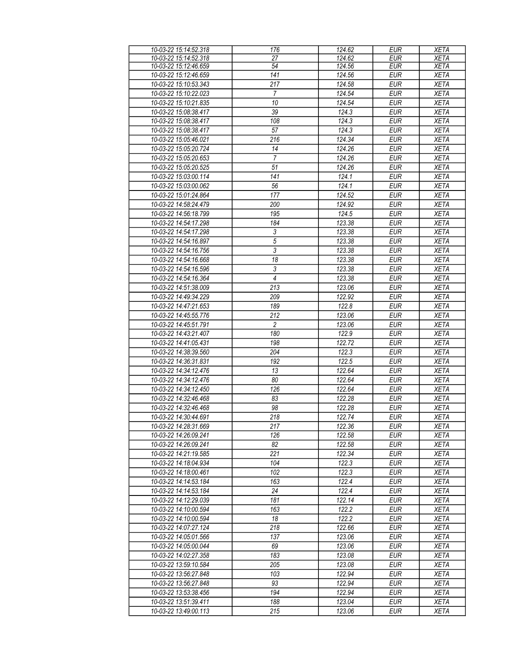| 10-03-22 15:14:52.318 | 176              | 124.62 | <b>EUR</b> | <b>XETA</b> |
|-----------------------|------------------|--------|------------|-------------|
| 10-03-22 15:14:52.318 | 27               | 124.62 | <b>EUR</b> | <b>XETA</b> |
| 10-03-22 15:12:46.659 | 54               | 124.56 | <b>EUR</b> | <b>XETA</b> |
| 10-03-22 15:12:46.659 | 141              | 124.56 | <b>EUR</b> | <b>XETA</b> |
| 10-03-22 15:10:53.343 | $\overline{217}$ | 124.58 | EUR        | <b>XETA</b> |
| 10-03-22 15:10:22.023 | $\overline{7}$   | 124.54 | <b>EUR</b> | <b>XETA</b> |
| 10-03-22 15:10:21.835 | 10               | 124.54 | EUR        | <b>XETA</b> |
| 10-03-22 15:08:38.417 | 39               | 124.3  | <b>EUR</b> | <b>XETA</b> |
|                       |                  |        |            |             |
| 10-03-22 15:08:38.417 | 108              | 124.3  | <b>EUR</b> | <b>XETA</b> |
| 10-03-22 15:08:38.417 | 57               | 124.3  | <b>EUR</b> | <b>XETA</b> |
| 10-03-22 15:05:46.021 | 216              | 124.34 | <b>EUR</b> | <b>XETA</b> |
| 10-03-22 15:05:20.724 | 14               | 124.26 | <b>EUR</b> | <b>XETA</b> |
| 10-03-22 15:05:20.653 | $\overline{7}$   | 124.26 | <b>EUR</b> | <b>XETA</b> |
| 10-03-22 15:05:20.525 | 51               | 124.26 | <b>EUR</b> | <b>XETA</b> |
| 10-03-22 15:03:00.114 | 141              | 124.1  | <b>EUR</b> | <b>XETA</b> |
| 10-03-22 15:03:00.062 | 56               | 124.1  | <b>EUR</b> | <b>XETA</b> |
| 10-03-22 15:01:24.864 | 177              | 124.52 | <b>EUR</b> | <b>XETA</b> |
| 10-03-22 14:58:24.479 | 200              | 124.92 | <b>EUR</b> | <b>XETA</b> |
| 10-03-22 14:56:18.799 | 195              | 124.5  | <b>EUR</b> | <b>XETA</b> |
| 10-03-22 14:54:17.298 | 184              | 123.38 | <b>EUR</b> | <b>XETA</b> |
|                       | $\sqrt{3}$       |        |            |             |
| 10-03-22 14:54:17.298 |                  | 123.38 | <b>EUR</b> | <b>XETA</b> |
| 10-03-22 14:54:16.897 | $\overline{5}$   | 123.38 | <b>EUR</b> | <b>XETA</b> |
| 10-03-22 14:54:16.756 | $\overline{3}$   | 123.38 | <b>EUR</b> | <b>XETA</b> |
| 10-03-22 14:54:16.668 | 18               | 123.38 | <b>EUR</b> | <b>XETA</b> |
| 10-03-22 14:54:16.596 | $\overline{3}$   | 123.38 | <b>EUR</b> | <b>XETA</b> |
| 10-03-22 14:54:16.364 | $\overline{4}$   | 123.38 | <b>EUR</b> | <b>XETA</b> |
| 10-03-22 14:51:38.009 | 213              | 123.06 | <b>EUR</b> | <b>XETA</b> |
| 10-03-22 14:49:34.229 | 209              | 122.92 | <b>EUR</b> | <b>XETA</b> |
| 10-03-22 14:47:21.653 | 189              | 122.8  | <b>EUR</b> | <b>XETA</b> |
| 10-03-22 14:45:55.776 | $\overline{212}$ | 123.06 | EUR        | <b>XETA</b> |
| 10-03-22 14:45:51.791 | $\overline{c}$   | 123.06 | <b>EUR</b> | <b>XETA</b> |
| 10-03-22 14:43:21.407 | 180              | 122.9  | EUR        | <b>XETA</b> |
| 10-03-22 14:41:05.431 | 198              | 122.72 | <b>EUR</b> | <b>XETA</b> |
| 10-03-22 14:38:39.560 | 204              | 122.3  | <b>EUR</b> | <b>XETA</b> |
|                       |                  |        |            |             |
| 10-03-22 14:36:31.831 | 192              | 122.5  | <b>EUR</b> | <b>XETA</b> |
| 10-03-22 14:34:12.476 | 13               | 122.64 | <b>EUR</b> | <b>XETA</b> |
| 10-03-22 14:34:12.476 | 80               | 122.64 | <b>EUR</b> | <b>XETA</b> |
| 10-03-22 14:34:12.450 | 126              | 122.64 | <b>EUR</b> | <b>XETA</b> |
| 10-03-22 14:32:46.468 | 83               | 122.28 | <b>EUR</b> | <b>XETA</b> |
| 10-03-22 14:32:46.468 | 98               | 122.28 | <b>EUR</b> | <b>XETA</b> |
| 10-03-22 14:30:44.691 | 218              | 122.74 | <b>EUR</b> | <b>XETA</b> |
| 10-03-22 14:28:31.669 | 217              | 122.36 | <b>EUR</b> | <b>XETA</b> |
| 10-03-22 14:26:09.241 | 126              | 122.58 | <b>EUR</b> | <b>XETA</b> |
| 10-03-22 14:26:09.241 | 82               | 122.58 | <b>EUR</b> | <b>XETA</b> |
| 10-03-22 14:21:19.585 | 221              | 122.34 | <b>EUR</b> | <b>XETA</b> |
| 10-03-22 14:18:04.934 | 104              | 122.3  | <b>EUR</b> | <b>XETA</b> |
| 10-03-22 14:18:00.461 | 102              | 122.3  | <b>EUR</b> | <b>XETA</b> |
| 10-03-22 14:14:53.184 | 163              | 122.4  | <b>EUR</b> | <b>XETA</b> |
|                       | 24               | 122.4  |            |             |
| 10-03-22 14:14:53.184 |                  |        | <b>EUR</b> | <b>XETA</b> |
| 10-03-22 14:12:29.039 | 181              | 122.14 | <b>EUR</b> | <b>XETA</b> |
| 10-03-22 14:10:00.594 | 163              | 122.2  | <b>EUR</b> | <b>XETA</b> |
| 10-03-22 14:10:00.594 | 18               | 122.2  | <b>EUR</b> | <b>XETA</b> |
| 10-03-22 14:07:27.124 | 218              | 122.66 | <b>EUR</b> | <b>XETA</b> |
| 10-03-22 14:05:01.566 | 137              | 123.06 | <b>EUR</b> | <b>XETA</b> |
| 10-03-22 14:05:00.044 | 69               | 123.06 | <b>EUR</b> | <b>XETA</b> |
| 10-03-22 14:02:27.358 | 183              | 123.08 | <b>EUR</b> | <b>XETA</b> |
| 10-03-22 13:59:10.584 | 205              | 123.08 | <b>EUR</b> | <b>XETA</b> |
| 10-03-22 13:56:27.848 | 103              | 122.94 | <b>EUR</b> | <b>XETA</b> |
| 10-03-22 13:56:27.848 | 93               | 122.94 | <b>EUR</b> | <b>XETA</b> |
| 10-03-22 13:53:38.456 | 194              | 122.94 | <b>EUR</b> | <b>XETA</b> |
|                       | 188              | 123.04 | <b>EUR</b> |             |
| 10-03-22 13:51:39.411 |                  |        |            | <b>XETA</b> |
| 10-03-22 13:49:00.113 | 215              | 123.06 | <b>EUR</b> | <b>XETA</b> |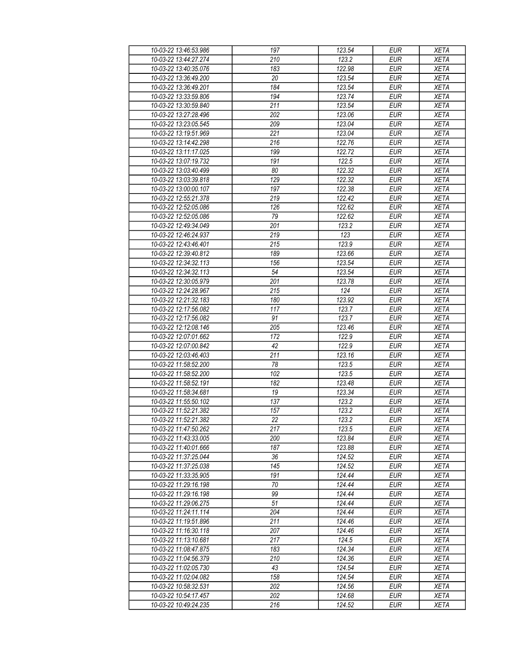| 10-03-22 13:46:53.986                          | 197 | 123.54         | <b>EUR</b> | <b>XETA</b> |
|------------------------------------------------|-----|----------------|------------|-------------|
| 10-03-22 13:44:27.274                          | 210 | 123.2          | <b>EUR</b> | <b>XETA</b> |
| 10-03-22 13:40:35.076                          | 183 | 122.98         | <b>EUR</b> | <b>XETA</b> |
| 10-03-22 13:36:49.200                          | 20  | 123.54         | <b>EUR</b> | <b>XETA</b> |
| 10-03-22 13:36:49.201                          | 184 | 123.54         | <b>EUR</b> | <b>XETA</b> |
| 10-03-22 13:33:59.806                          | 194 | 123.74         | <b>EUR</b> | <b>XETA</b> |
| 10-03-22 13:30:59.840                          | 211 | 123.54         | <b>EUR</b> | <b>XETA</b> |
| 10-03-22 13:27:28.496                          | 202 | 123.06         | <b>EUR</b> | <b>XETA</b> |
| 10-03-22 13:23:05.545                          | 209 | 123.04         | <b>EUR</b> | <b>XETA</b> |
| 10-03-22 13:19:51.969                          | 221 | 123.04         | <b>EUR</b> | <b>XETA</b> |
| 10-03-22 13:14:42.298                          | 216 | 122.76         | <b>EUR</b> | <b>XETA</b> |
| 10-03-22 13:11:17.025                          | 199 | 122.72         | <b>EUR</b> | <b>XETA</b> |
| 10-03-22 13:07:19.732                          | 191 | 122.5          | <b>EUR</b> | <b>XETA</b> |
| 10-03-22 13:03:40.499                          | 80  | 122.32         | <b>EUR</b> | <b>XETA</b> |
| 10-03-22 13:03:39.818                          | 129 | 122.32         | <b>EUR</b> | <b>XETA</b> |
| 10-03-22 13:00:00.107                          | 197 | 122.38         | <b>EUR</b> | <b>XETA</b> |
| 10-03-22 12:55:21.378                          | 219 | 122.42         | EUR        | <b>XETA</b> |
| 10-03-22 12:52:05.086                          | 126 | 122.62         | <b>EUR</b> | <b>XETA</b> |
| 10-03-22 12:52:05.086                          | 79  | 122.62         | <b>EUR</b> | <b>XETA</b> |
| 10-03-22 12:49:34.049                          | 201 | 123.2          | <b>EUR</b> | <b>XETA</b> |
|                                                | 219 | 123            | <b>EUR</b> | <b>XETA</b> |
| 10-03-22 12:46:24.937                          | 215 |                | <b>EUR</b> |             |
| 10-03-22 12:43:46.401<br>10-03-22 12:39:40.812 | 189 | 123.9          |            | <b>XETA</b> |
| 10-03-22 12:34:32.113                          |     | 123.66         | <b>EUR</b> | <b>XETA</b> |
|                                                | 156 | 123.54         | <b>EUR</b> | <b>XETA</b> |
| 10-03-22 12:34:32.113                          | 54  | 123.54         | <b>EUR</b> | <b>XETA</b> |
| 10-03-22 12:30:05.979                          | 201 | 123.78         | <b>EUR</b> | <b>XETA</b> |
| 10-03-22 12:24:28.967                          | 215 | 124            | <b>EUR</b> | <b>XETA</b> |
| 10-03-22 12:21:32.183                          | 180 | 123.92         | <b>EUR</b> | <b>XETA</b> |
| 10-03-22 12:17:56.082                          | 117 | 123.7          | <b>EUR</b> | <b>XETA</b> |
| 10-03-22 12:17:56.082                          | 91  | 123.7          | <b>EUR</b> | <b>XETA</b> |
| 10-03-22 12:12:08.146                          | 205 | 123.46         | <b>EUR</b> | <b>XETA</b> |
| 10-03-22 12:07:01.662                          | 172 | 122.9          | <b>EUR</b> | <b>XETA</b> |
| 10-03-22 12:07:00.842                          | 42  | 122.9          | <b>EUR</b> | <b>XETA</b> |
| 10-03-22 12:03:46.403                          | 211 | 123.16         | <b>EUR</b> | <b>XETA</b> |
| 10-03-22 11:58:52.200                          | 78  | 123.5          | <b>EUR</b> | <b>XETA</b> |
| 10-03-22 11:58:52.200                          | 102 | 123.5          | <b>EUR</b> | <b>XETA</b> |
| 10-03-22 11:58:52.191                          | 182 | 123.48         | <b>EUR</b> | <b>XETA</b> |
| 10-03-22 11:58:34.681                          | 19  | 123.34         | <b>EUR</b> | <b>XETA</b> |
| 10-03-22 11:55:50.102<br>10-03-22 11:52:21.382 | 137 | 123.2<br>123.2 | <b>EUR</b> | <b>XETA</b> |
|                                                | 157 |                | <b>EUR</b> | <b>XETA</b> |
| 10-03-22 11:52:21.382                          | 22  | 123.2          | EUR        | <b>XETA</b> |
| 10-03-22 11:47:50.262                          | 217 | 123.5          | <b>EUR</b> | <b>XETA</b> |
| 10-03-22 11:43:33.005                          | 200 | 123.84         | <b>EUR</b> | <b>XETA</b> |
| 10-03-22 11:40:01.666                          | 187 | 123.88         | <b>EUR</b> | <b>XETA</b> |
| 10-03-22 11:37:25.044                          | 36  | 124.52         | <b>EUR</b> | <b>XETA</b> |
| 10-03-22 11:37:25.038                          | 145 | 124.52         | <b>EUR</b> | <b>XETA</b> |
| 10-03-22 11:33:35.905                          | 191 | 124.44         | <b>EUR</b> | <b>XETA</b> |
| 10-03-22 11:29:16.198                          | 70  | 124.44         | <b>EUR</b> | <b>XETA</b> |
| 10-03-22 11:29:16.198                          | 99  | 124.44         | <b>EUR</b> | <b>XETA</b> |
| 10-03-22 11:29:06.275                          | 51  | 124.44         | <b>EUR</b> | <b>XETA</b> |
| 10-03-22 11:24:11.114                          | 204 | 124.44         | <b>EUR</b> | <b>XETA</b> |
| 10-03-22 11:19:51.896                          | 211 | 124.46         | <b>EUR</b> | <b>XETA</b> |
| 10-03-22 11:16:30.118                          | 207 | 124.46         | <b>EUR</b> | <b>XETA</b> |
| 10-03-22 11:13:10.681                          | 217 | 124.5          | <b>EUR</b> | <b>XETA</b> |
| 10-03-22 11:08:47.875                          | 183 | 124.34         | <b>EUR</b> | <b>XETA</b> |
| 10-03-22 11:04:56.379                          | 210 | 124.36         | <b>EUR</b> | <b>XETA</b> |
| 10-03-22 11:02:05.730                          | 43  | 124.54         | <b>EUR</b> | <b>XETA</b> |
| 10-03-22 11:02:04.082                          | 158 | 124.54         | <b>EUR</b> | <b>XETA</b> |
| 10-03-22 10:58:32.531                          | 202 | 124.56         | <b>EUR</b> | <b>XETA</b> |
| 10-03-22 10:54:17.457                          | 202 | 124.68         | <b>EUR</b> | <b>XETA</b> |
| 10-03-22 10:49:24.235                          | 216 | 124.52         | <b>EUR</b> | <b>XETA</b> |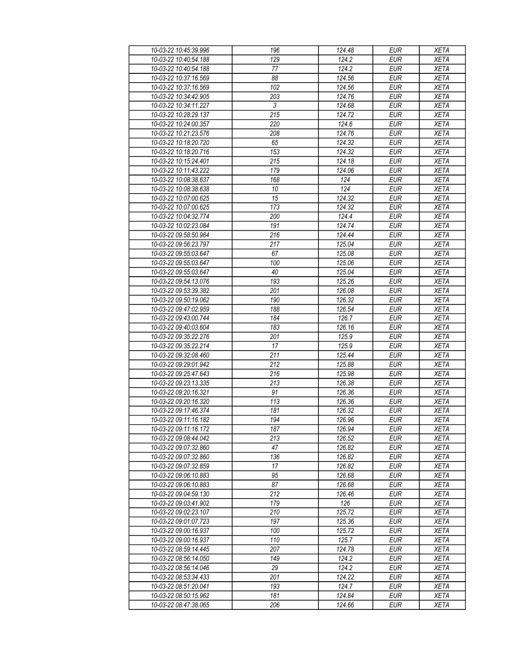| 10-03-22 10:45:39.996 | 196              | 124.48 | <b>EUR</b>       | <b>XETA</b> |
|-----------------------|------------------|--------|------------------|-------------|
| 10-03-22 10:40:54.188 | 129              | 124.2  | <b>EUR</b>       | <b>XETA</b> |
| 10-03-22 10:40:54.188 | 77               | 124.2  | <b>EUR</b>       | <b>XETA</b> |
| 10-03-22 10:37:16.569 | 88               | 124.56 | <b>EUR</b>       | <b>XETA</b> |
| 10-03-22 10:37:16.569 | 102              | 124.56 | <b>EUR</b>       | <b>XETA</b> |
| 10-03-22 10:34:42.905 | 203              | 124.76 | <b>EUR</b>       | <b>XETA</b> |
| 10-03-22 10:34:11.227 | 3                | 124.68 | <b>EUR</b>       | <b>XETA</b> |
| 10-03-22 10:28:29.137 | $\overline{215}$ | 124.72 | <b>EUR</b>       | <b>XETA</b> |
| 10-03-22 10:24:00.357 | 220              | 124.6  | <b>EUR</b>       | <b>XETA</b> |
| 10-03-22 10:21:23.576 | 208              | 124.76 | <b>EUR</b>       | <b>XETA</b> |
| 10-03-22 10:18:20.720 | 65               | 124.32 | <b>EUR</b>       | <b>XETA</b> |
| 10-03-22 10:18:20.716 | 153              | 124.32 | <b>EUR</b>       | <b>XETA</b> |
| 10-03-22 10:15:24.401 | 215              | 124.18 | <b>EUR</b>       | <b>XETA</b> |
| 10-03-22 10:11:43.222 | 179              | 124.06 | <b>EUR</b>       | <b>XETA</b> |
| 10-03-22 10:08:38.637 | 168              | 124    | EUR              | <b>XETA</b> |
| 10-03-22 10:08:38.638 | 10               | 124    | <b>EUR</b>       | <b>XETA</b> |
| 10-03-22 10:07:00.625 | 15               | 124.32 | EUR              | <b>XETA</b> |
| 10-03-22 10:07:00.625 | 173              | 124.32 | <b>EUR</b>       | <b>XETA</b> |
|                       |                  |        |                  |             |
| 10-03-22 10:04:32.774 | 200              | 124.4  | <b>EUR</b>       | <b>XETA</b> |
| 10-03-22 10:02:23.084 | 191              | 124.74 | <b>EUR</b>       | <b>XETA</b> |
| 10-03-22 09:58:50.964 | 216              | 124.44 | <b>EUR</b>       | <b>XETA</b> |
| 10-03-22 09:56:23.797 | 217              | 125.04 | <b>EUR</b>       | <b>XETA</b> |
| 10-03-22 09:55:03.647 | 67               | 125.08 | <b>EUR</b>       | <b>XETA</b> |
| 10-03-22 09:55:03.647 | 100              | 125.06 | <b>EUR</b>       | XETA        |
| 10-03-22 09:55:03.647 | 40               | 125.04 | <b>EUR</b>       | <b>XETA</b> |
| 10-03-22 09:54:13.076 | 193              | 125.26 | EUR              | <b>XETA</b> |
| 10-03-22 09:53:39.382 | 201              | 126.08 | <b>EUR</b>       | <b>XETA</b> |
| 10-03-22 09:50:19.062 | 190              | 126.32 | <b>EUR</b>       | <b>XETA</b> |
| 10-03-22 09:47:02.959 | 188              | 126.54 | <b>EUR</b>       | <b>XETA</b> |
| 10-03-22 09:43:00.744 | 184              | 126.7  | <b>EUR</b>       | <b>XETA</b> |
| 10-03-22 09:40:03.604 | 183              | 126.16 | <b>EUR</b>       | <b>XETA</b> |
| 10-03-22 09:35:22.276 | 201              | 125.9  | <b>EUR</b>       | <b>XETA</b> |
| 10-03-22 09:35:22.214 | 17               | 125.9  | <b>EUR</b>       | <b>XETA</b> |
| 10-03-22 09:32:08.460 | 211              | 125.44 | <b>EUR</b>       | <b>XETA</b> |
| 10-03-22 09:29:01.942 | 212              | 125.88 | $E\overline{UR}$ | <b>XETA</b> |
| 10-03-22 09:25:47.643 | 216              | 125.98 | <b>EUR</b>       | <b>XETA</b> |
| 10-03-22 09:23:13.335 | 213              | 126.38 | <b>EUR</b>       | <b>XETA</b> |
| 10-03-22 09:20:16.321 | 91               | 126.36 | <b>EUR</b>       | <b>XETA</b> |
| 10-03-22 09:20:16.320 | 113              | 126.36 | <b>EUR</b>       | <b>XETA</b> |
| 10-03-22 09:17:46.374 | 181              | 126.32 | <b>EUR</b>       | <b>XETA</b> |
| 10-03-22 09:11:16.182 | 194              | 126.96 | <b>EUR</b>       | <b>XETA</b> |
| 10-03-22 09:11:16.172 | 187              | 126.94 | <b>EUR</b>       | <b>XETA</b> |
| 10-03-22 09:08:44.042 | 213              | 126.52 | <b>EUR</b>       | <b>XETA</b> |
| 10-03-22 09:07:32.860 | 47               | 126.82 | <b>EUR</b>       | <b>XETA</b> |
| 10-03-22 09:07:32.860 | 136              | 126.82 | <b>EUR</b>       | <b>XETA</b> |
| 10-03-22 09:07:32.859 | 17               | 126.82 | <b>EUR</b>       | <b>XETA</b> |
| 10-03-22 09:06:10.883 | 95               | 126.68 | <b>EUR</b>       | <b>XETA</b> |
| 10-03-22 09:06:10.883 | 87               | 126.68 | <b>EUR</b>       | <b>XETA</b> |
| 10-03-22 09:04:59.130 | 212              | 126.46 | <b>EUR</b>       | <b>XETA</b> |
| 10-03-22 09:03:41.902 | 179              | 126    | <b>EUR</b>       | <b>XETA</b> |
| 10-03-22 09:02:23.107 | 210              | 125.72 | <b>EUR</b>       | <b>XETA</b> |
| 10-03-22 09:01:07.723 | 197              | 125.36 | <b>EUR</b>       | <b>XETA</b> |
| 10-03-22 09:00:16.937 | 100              | 125.72 | <b>EUR</b>       | <b>XETA</b> |
| 10-03-22 09:00:16.937 | 110              | 125.7  | <b>EUR</b>       | <b>XETA</b> |
| 10-03-22 08:59:14.445 | 207              | 124.78 | <b>EUR</b>       | <b>XETA</b> |
| 10-03-22 08:56:14.050 | 149              | 124.2  | <b>EUR</b>       | <b>XETA</b> |
| 10-03-22 08:56:14.046 | 29               | 124.2  | <b>EUR</b>       | <b>XETA</b> |
| 10-03-22 08:53:34.433 | 201              | 124.22 | <b>EUR</b>       | <b>XETA</b> |
| 10-03-22 08:51:20.041 | 193              | 124.7  | <b>EUR</b>       | <b>XETA</b> |
| 10-03-22 08:50:15.962 | 181              | 124.84 | <b>EUR</b>       | <b>XETA</b> |
| 10-03-22 08:47:38.065 | 206              | 124.66 | <b>EUR</b>       | <b>XETA</b> |
|                       |                  |        |                  |             |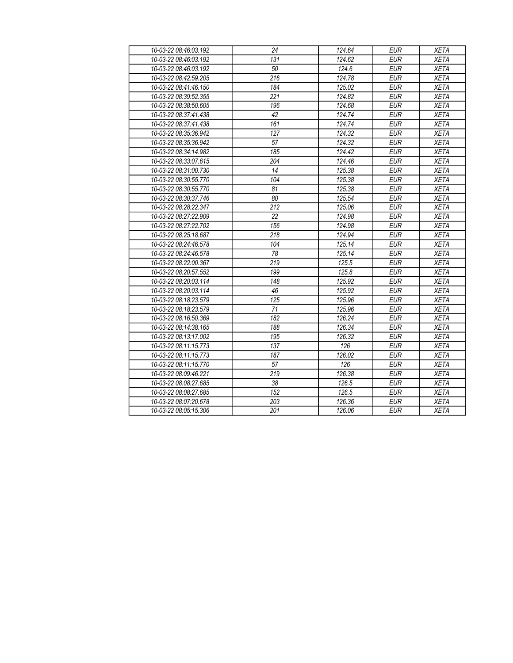| 10-03-22 08:46:03.192 | 24               | 124.64 | <b>EUR</b> | <b>XETA</b> |
|-----------------------|------------------|--------|------------|-------------|
| 10-03-22 08:46:03.192 | 131              | 124.62 | <b>EUR</b> | <b>XETA</b> |
| 10-03-22 08:46:03.192 | 50               | 124.6  | <b>EUR</b> | <b>XETA</b> |
| 10-03-22 08:42:59.205 | $\overline{216}$ | 124.78 | <b>EUR</b> | <b>XETA</b> |
| 10-03-22 08:41:46.150 | 184              | 125.02 | <b>EUR</b> | <b>XETA</b> |
| 10-03-22 08:39:52.355 | 221              | 124.82 | <b>EUR</b> | <b>XETA</b> |
| 10-03-22 08:38:50.605 | 196              | 124.68 | <b>EUR</b> | <b>XETA</b> |
| 10-03-22 08:37:41.438 | 42               | 124.74 | <b>EUR</b> | <b>XETA</b> |
| 10-03-22 08:37:41.438 | 161              | 124.74 | <b>EUR</b> | <b>XETA</b> |
| 10-03-22 08:35:36.942 | 127              | 124.32 | <b>EUR</b> | <b>XETA</b> |
| 10-03-22 08:35:36.942 | 57               | 124.32 | <b>EUR</b> | <b>XETA</b> |
| 10-03-22 08:34:14.982 | 185              | 124.42 | <b>EUR</b> | <b>XETA</b> |
| 10-03-22 08:33:07.615 | 204              | 124.46 | <b>EUR</b> | <b>XETA</b> |
| 10-03-22 08:31:00.730 | 14               | 125.38 | <b>EUR</b> | <b>XETA</b> |
| 10-03-22 08:30:55.770 | 104              | 125.38 | <b>EUR</b> | <b>XETA</b> |
| 10-03-22 08:30:55.770 | 81               | 125.38 | <b>EUR</b> | <b>XETA</b> |
| 10-03-22 08:30:37.746 | 80               | 125.54 | <b>EUR</b> | <b>XETA</b> |
| 10-03-22 08:28:22.347 | $\overline{212}$ | 125.06 | <b>EUR</b> | <b>XETA</b> |
| 10-03-22 08:27:22.909 | 22               | 124.98 | <b>EUR</b> | <b>XETA</b> |
| 10-03-22 08:27:22.702 | 156              | 124.98 | <b>EUR</b> | <b>XETA</b> |
| 10-03-22 08:25:18.687 | 218              | 124.94 | <b>EUR</b> | <b>XETA</b> |
| 10-03-22 08:24:46.578 | 104              | 125.14 | <b>EUR</b> | <b>XETA</b> |
| 10-03-22 08:24:46.578 | 78               | 125.14 | <b>EUR</b> | <b>XETA</b> |
| 10-03-22 08:22:00.367 | 219              | 125.5  | <b>EUR</b> | <b>XETA</b> |
| 10-03-22 08:20:57.552 | 199              | 125.8  | <b>EUR</b> | <b>XETA</b> |
| 10-03-22 08:20:03.114 | 148              | 125.92 | <b>EUR</b> | <b>XETA</b> |
| 10-03-22 08:20:03.114 | 46               | 125.92 | <b>EUR</b> | <b>XETA</b> |
| 10-03-22 08:18:23.579 | 125              | 125.96 | <b>EUR</b> | <b>XETA</b> |
| 10-03-22 08:18:23.579 | 71               | 125.96 | <b>EUR</b> | <b>XETA</b> |
| 10-03-22 08:16:50.369 | 182              | 126.24 | <b>EUR</b> | <b>XETA</b> |
| 10-03-22 08:14:38.165 | 188              | 126.34 | <b>EUR</b> | <b>XETA</b> |
| 10-03-22 08:13:17.002 | 195              | 126.32 | <b>EUR</b> | <b>XETA</b> |
| 10-03-22 08:11:15.773 | 137              | 126    | <b>EUR</b> | <b>XETA</b> |
| 10-03-22 08:11:15.773 | 187              | 126.02 | <b>EUR</b> | <b>XETA</b> |
| 10-03-22 08:11:15.770 | 57               | 126    | <b>EUR</b> | <b>XETA</b> |
| 10-03-22 08:09:46.221 | 219              | 126.38 | <b>EUR</b> | <b>XETA</b> |
| 10-03-22 08:08:27.685 | 38               | 126.5  | <b>EUR</b> | <b>XETA</b> |
| 10-03-22 08:08:27.685 | 152              | 126.5  | <b>EUR</b> | <b>XETA</b> |
| 10-03-22 08:07:20.678 | 203              | 126.36 | <b>EUR</b> | <b>XETA</b> |
| 10-03-22 08:05:15.306 | 201              | 126.06 | <b>EUR</b> | <b>XETA</b> |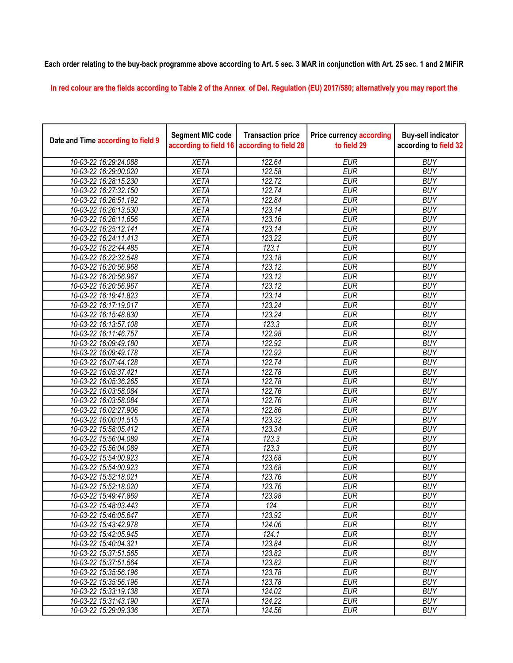## Each order relating to the buy-back programme above according to Art. 5 sec. 3 MAR in conjunction with Art. 25 sec. 1 and 2 MiFiR

In red colour are the fields according to Table 2 of the Annex of Del. Regulation (EU) 2017/580; alternatively you may report the

| Date and Time according to field 9 | <b>Segment MIC code</b><br>according to field 16 | <b>Transaction price</b><br>according to field 28 | <b>Price currency according</b><br>to field 29 | <b>Buy-sell indicator</b><br>according to field 32 |
|------------------------------------|--------------------------------------------------|---------------------------------------------------|------------------------------------------------|----------------------------------------------------|
| 10-03-22 16:29:24.088              | <b>XETA</b>                                      | 122.64                                            | <b>EUR</b>                                     | <b>BUY</b>                                         |
| 10-03-22 16:29:00.020              | <b>XETA</b>                                      | 122.58                                            | <b>EUR</b>                                     | <b>BUY</b>                                         |
| 10-03-22 16:28:15.230              | <b>XETA</b>                                      | 122.72                                            | <b>EUR</b>                                     | <b>BUY</b>                                         |
| 10-03-22 16:27:32.150              | <b>XETA</b>                                      | 122.74                                            | <b>EUR</b>                                     | <b>BUY</b>                                         |
| 10-03-22 16:26:51.192              | <b>XETA</b>                                      | 122.84                                            | <b>EUR</b>                                     | <b>BUY</b>                                         |
| 10-03-22 16:26:13.530              | <b>XETA</b>                                      | 123.14                                            | <b>EUR</b>                                     | <b>BUY</b>                                         |
| 10-03-22 16:26:11.656              | <b>XETA</b>                                      | 123.16                                            | <b>EUR</b>                                     | <b>BUY</b>                                         |
| 10-03-22 16:25:12.141              | <b>XETA</b>                                      | 123.14                                            | <b>EUR</b>                                     | <b>BUY</b>                                         |
| 10-03-22 16:24:11.413              | <b>XETA</b>                                      | 123.22                                            | <b>EUR</b>                                     | <b>BUY</b>                                         |
| 10-03-22 16:22:44.485              | <b>XETA</b>                                      | 123.1                                             | <b>EUR</b>                                     | <b>BUY</b>                                         |
| 10-03-22 16:22:32.548              | <b>XETA</b>                                      | 123.18                                            | <b>EUR</b>                                     | <b>BUY</b>                                         |
| 10-03-22 16:20:56.968              | <b>XETA</b>                                      | 123.12                                            | <b>EUR</b>                                     | <b>BUY</b>                                         |
| 10-03-22 16:20:56.967              | <b>XETA</b>                                      | 123.12                                            | <b>EUR</b>                                     | <b>BUY</b>                                         |
| 10-03-22 16:20:56.967              | <b>XETA</b>                                      | 123.12                                            | <b>EUR</b>                                     | <b>BUY</b>                                         |
| 10-03-22 16:19:41.823              | <b>XETA</b>                                      | 123.14                                            | <b>EUR</b>                                     | <b>BUY</b>                                         |
| 10-03-22 16:17:19.017              | <b>XETA</b>                                      | 123.24                                            | <b>EUR</b>                                     | <b>BUY</b>                                         |
| 10-03-22 16:15:48.830              | <b>XETA</b>                                      | 123.24                                            | <b>EUR</b>                                     | <b>BUY</b>                                         |
| 10-03-22 16:13:57.108              | <b>XETA</b>                                      | 123.3                                             | <b>EUR</b>                                     | <b>BUY</b>                                         |
| 10-03-22 16:11:46.757              | <b>XETA</b>                                      | 122.98                                            | <b>EUR</b>                                     | <b>BUY</b>                                         |
| 10-03-22 16:09:49.180              | <b>XETA</b>                                      | 122.92                                            | <b>EUR</b>                                     | <b>BUY</b>                                         |
| 10-03-22 16:09:49.178              | <b>XETA</b>                                      | 122.92                                            | <b>EUR</b>                                     | <b>BUY</b>                                         |
| 10-03-22 16:07:44.128              | <b>XETA</b>                                      | 122.74                                            | <b>EUR</b>                                     | <b>BUY</b>                                         |
| 10-03-22 16:05:37.421              | <b>XETA</b>                                      | 122.78                                            | <b>EUR</b>                                     | <b>BUY</b>                                         |
| 10-03-22 16:05:36.265              | <b>XETA</b>                                      | 122.78                                            | <b>EUR</b>                                     | <b>BUY</b>                                         |
| 10-03-22 16:03:58.084              | <b>XETA</b>                                      | 122.76                                            | <b>EUR</b>                                     | <b>BUY</b>                                         |
| 10-03-22 16:03:58.084              | <b>XETA</b>                                      | 122.76                                            | <b>EUR</b>                                     | <b>BUY</b>                                         |
| 10-03-22 16:02:27.906              | <b>XETA</b>                                      | 122.86                                            | <b>EUR</b>                                     | <b>BUY</b>                                         |
| 10-03-22 16:00:01.515              | <b>XETA</b>                                      | 123.32                                            | <b>EUR</b>                                     | <b>BUY</b>                                         |
| 10-03-22 15:58:05.412              | <b>XETA</b>                                      | 123.34                                            | <b>EUR</b>                                     | <b>BUY</b>                                         |
| 10-03-22 15:56:04.089              | <b>XETA</b>                                      | 123.3                                             | <b>EUR</b>                                     | <b>BUY</b>                                         |
| 10-03-22 15:56:04.089              | <b>XETA</b>                                      | 123.3                                             | <b>EUR</b>                                     | <b>BUY</b>                                         |
| 10-03-22 15:54:00.923              | <b>XETA</b>                                      | 123.68                                            | <b>EUR</b>                                     | <b>BUY</b>                                         |
| 10-03-22 15:54:00.923              | <b>XETA</b>                                      | 123.68                                            | <b>EUR</b>                                     | <b>BUY</b>                                         |
| 10-03-22 15:52:18.021              | <b>XETA</b>                                      | 123.76                                            | <b>EUR</b>                                     | <b>BUY</b>                                         |
| 10-03-22 15:52:18.020              | <b>XETA</b>                                      | 123.76                                            | <b>EUR</b>                                     | <b>BUY</b>                                         |
| 10-03-22 15:49:47.869              | <b>XETA</b>                                      | 123.98                                            | <b>EUR</b>                                     | <b>BUY</b>                                         |
| 10-03-22 15:48:03.443              | <b>XETA</b>                                      | 124                                               | <b>EUR</b>                                     | <b>BUY</b>                                         |
| 10-03-22 15:46:05.647              | <b>XETA</b>                                      | 123.92                                            | <b>EUR</b>                                     | <b>BUY</b>                                         |
| 10-03-22 15:43:42.978              | <b>XETA</b>                                      | 124.06                                            | <b>EUR</b>                                     | <b>BUY</b>                                         |
| 10-03-22 15:42:05.945              | <b>XETA</b>                                      | 124.1                                             | <b>EUR</b>                                     | <b>BUY</b>                                         |
| 10-03-22 15:40:04.321              | <b>XETA</b>                                      | 123.84                                            | <b>EUR</b>                                     | <b>BUY</b>                                         |
| 10-03-22 15:37:51.565              | <b>XETA</b>                                      | 123.82                                            | <b>EUR</b>                                     | <b>BUY</b>                                         |
| 10-03-22 15:37:51.564              | <b>XETA</b>                                      | 123.82                                            | <b>EUR</b>                                     | <b>BUY</b>                                         |
| 10-03-22 15:35:56.196              | <b>XETA</b>                                      | 123.78                                            | <b>EUR</b>                                     | <b>BUY</b>                                         |
| 10-03-22 15:35:56.196              | <b>XETA</b>                                      | 123.78                                            | <b>EUR</b>                                     | <b>BUY</b>                                         |
| 10-03-22 15:33:19.138              | <b>XETA</b>                                      | 124.02                                            | <b>EUR</b>                                     | <b>BUY</b>                                         |
| 10-03-22 15:31:43.190              | <b>XETA</b>                                      | 124.22                                            | <b>EUR</b>                                     | <b>BUY</b>                                         |
| 10-03-22 15:29:09.336              | <b>XETA</b>                                      | 124.56                                            | <b>EUR</b>                                     | <b>BUY</b>                                         |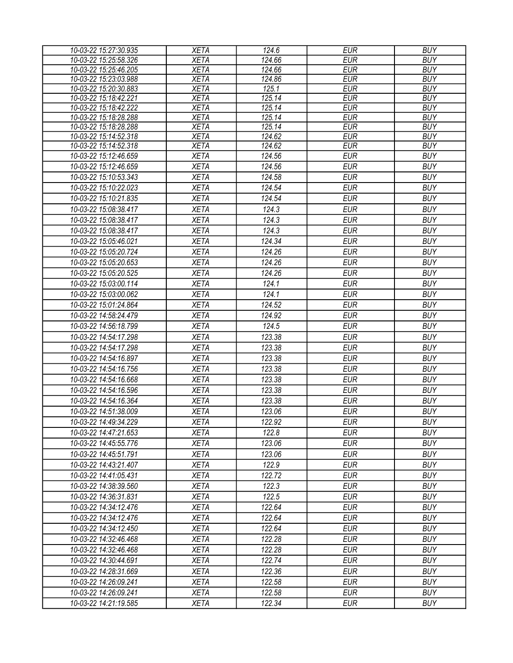| 10-03-22 15:27:30.935 | <b>XETA</b> | 124.6  | <b>EUR</b> | <b>BUY</b> |
|-----------------------|-------------|--------|------------|------------|
| 10-03-22 15:25:58.326 | <b>XETA</b> | 124.66 | <b>EUR</b> | <b>BUY</b> |
| 10-03-22 15:25:46.205 | <b>XETA</b> | 124.66 | <b>EUR</b> | <b>BUY</b> |
| 10-03-22 15:23:03.988 | <b>XETA</b> | 124.86 | <b>EUR</b> | <b>BUY</b> |
| 10-03-22 15:20:30.883 | <b>XETA</b> | 125.1  | <b>EUR</b> | <b>BUY</b> |
| 10-03-22 15:18:42.221 | <b>XETA</b> | 125.14 | <b>EUR</b> | <b>BUY</b> |
| 10-03-22 15:18:42.222 | <b>XETA</b> | 125.14 | <b>EUR</b> | <b>BUY</b> |
| 10-03-22 15:18:28.288 | <b>XETA</b> | 125.14 | <b>EUR</b> | <b>BUY</b> |
| 10-03-22 15:18:28.288 | <b>XETA</b> | 125.14 | <b>EUR</b> | <b>BUY</b> |
| 10-03-22 15:14:52.318 | <b>XETA</b> | 124.62 | <b>EUR</b> | <b>BUY</b> |
| 10-03-22 15:14:52.318 | <b>XETA</b> | 124.62 | <b>EUR</b> | <b>BUY</b> |
| 10-03-22 15:12:46.659 | <b>XETA</b> | 124.56 | <b>EUR</b> | <b>BUY</b> |
| 10-03-22 15:12:46.659 | <b>XETA</b> | 124.56 | <b>EUR</b> | <b>BUY</b> |
| 10-03-22 15:10:53.343 | <b>XETA</b> | 124.58 | <b>EUR</b> | <b>BUY</b> |
| 10-03-22 15:10:22.023 | <b>XETA</b> | 124.54 | <b>EUR</b> | <b>BUY</b> |
| 10-03-22 15:10:21.835 | <b>XETA</b> | 124.54 | <b>EUR</b> | <b>BUY</b> |
| 10-03-22 15:08:38.417 | <b>XETA</b> | 124.3  | <b>EUR</b> | <b>BUY</b> |
| 10-03-22 15:08:38.417 | <b>XETA</b> | 124.3  | <b>EUR</b> | <b>BUY</b> |
| 10-03-22 15:08:38.417 | <b>XETA</b> | 124.3  | <b>EUR</b> | <b>BUY</b> |
| 10-03-22 15:05:46.021 | <b>XETA</b> | 124.34 | <b>EUR</b> | <b>BUY</b> |
| 10-03-22 15:05:20.724 | <b>XETA</b> | 124.26 | <b>EUR</b> | <b>BUY</b> |
| 10-03-22 15:05:20.653 | <b>XETA</b> | 124.26 | <b>EUR</b> | <b>BUY</b> |
| 10-03-22 15:05:20.525 | <b>XETA</b> | 124.26 | <b>EUR</b> | <b>BUY</b> |
| 10-03-22 15:03:00.114 | <b>XETA</b> | 124.1  | <b>EUR</b> | <b>BUY</b> |
| 10-03-22 15:03:00.062 | <b>XETA</b> | 124.1  | <b>EUR</b> | <b>BUY</b> |
|                       |             |        |            |            |
| 10-03-22 15:01:24.864 | <b>XETA</b> | 124.52 | <b>EUR</b> | <b>BUY</b> |
| 10-03-22 14:58:24.479 | <b>XETA</b> | 124.92 | <b>EUR</b> | <b>BUY</b> |
| 10-03-22 14:56:18.799 | <b>XETA</b> | 124.5  | <b>EUR</b> | <b>BUY</b> |
| 10-03-22 14:54:17.298 | <b>XETA</b> | 123.38 | <b>EUR</b> | <b>BUY</b> |
| 10-03-22 14:54:17.298 | <b>XETA</b> | 123.38 | <b>EUR</b> | <b>BUY</b> |
| 10-03-22 14:54:16.897 | <b>XETA</b> | 123.38 | <b>EUR</b> | <b>BUY</b> |
| 10-03-22 14:54:16.756 | <b>XETA</b> | 123.38 | <b>EUR</b> | <b>BUY</b> |
| 10-03-22 14:54:16.668 | <b>XETA</b> | 123.38 | <b>EUR</b> | <b>BUY</b> |
| 10-03-22 14:54:16.596 | <b>XETA</b> | 123.38 | <b>EUR</b> | <b>BUY</b> |
| 10-03-22 14:54:16.364 | <b>XETA</b> | 123.38 | <b>EUR</b> | <b>BUY</b> |
| 10-03-22 14:51:38.009 | <b>XETA</b> | 123.06 | <b>EUR</b> | <b>BUY</b> |
| 10-03-22 14:49:34.229 | <b>XETA</b> | 122.92 | <b>EUR</b> | <b>BUY</b> |
| 10-03-22 14:47:21.653 | <b>XETA</b> | 122.8  | EUR        | <b>BUY</b> |
| 10-03-22 14:45:55.776 | <b>XETA</b> | 123.06 | <b>EUR</b> | <b>BUY</b> |
| 10-03-22 14:45:51.791 | <b>XETA</b> | 123.06 | <b>EUR</b> | <b>BUY</b> |
| 10-03-22 14:43:21.407 | <b>XETA</b> | 122.9  | <b>EUR</b> | <b>BUY</b> |
| 10-03-22 14:41:05.431 | <b>XETA</b> | 122.72 | <b>EUR</b> | <b>BUY</b> |
|                       |             |        |            | <b>BUY</b> |
| 10-03-22 14:38:39.560 | <b>XETA</b> | 122.3  | <b>EUR</b> |            |
| 10-03-22 14:36:31.831 | <b>XETA</b> | 122.5  | <b>EUR</b> | <b>BUY</b> |
| 10-03-22 14:34:12.476 | <b>XETA</b> | 122.64 | <b>EUR</b> | <b>BUY</b> |
| 10-03-22 14:34:12.476 | <b>XETA</b> | 122.64 | <b>EUR</b> | <b>BUY</b> |
| 10-03-22 14:34:12.450 | <b>XETA</b> | 122.64 | EUR        | <b>BUY</b> |
| 10-03-22 14:32:46.468 | <b>XETA</b> | 122.28 | <b>EUR</b> | <b>BUY</b> |
| 10-03-22 14:32:46.468 | <b>XETA</b> | 122.28 | <b>EUR</b> | <b>BUY</b> |
| 10-03-22 14:30:44.691 | <b>XETA</b> | 122.74 | <b>EUR</b> | <b>BUY</b> |
| 10-03-22 14:28:31.669 | <b>XETA</b> | 122.36 | <b>EUR</b> | <b>BUY</b> |
| 10-03-22 14:26:09.241 | <b>XETA</b> | 122.58 | <b>EUR</b> | <b>BUY</b> |
| 10-03-22 14:26:09.241 | <b>XETA</b> | 122.58 | <b>EUR</b> | <b>BUY</b> |
| 10-03-22 14:21:19.585 | XETA        | 122.34 | <b>EUR</b> | <b>BUY</b> |
|                       |             |        |            |            |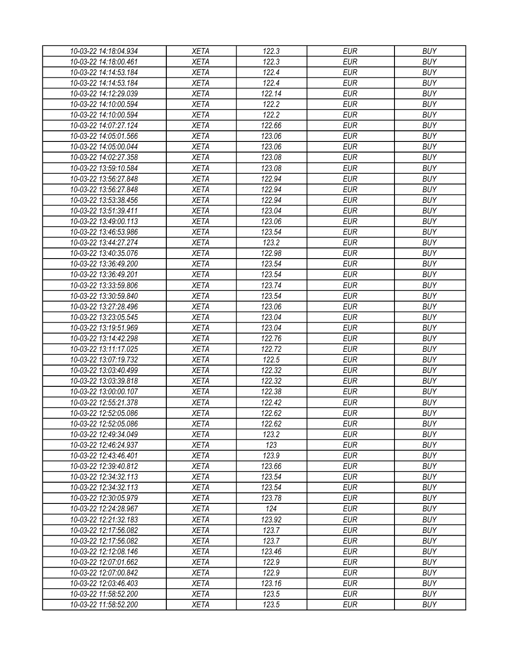| 10-03-22 14:18:04.934 | XETA        | 122.3  | <b>EUR</b> | <b>BUY</b> |
|-----------------------|-------------|--------|------------|------------|
| 10-03-22 14:18:00.461 | <b>XETA</b> | 122.3  | <b>EUR</b> | <b>BUY</b> |
| 10-03-22 14:14:53.184 | <b>XETA</b> | 122.4  | <b>EUR</b> | <b>BUY</b> |
| 10-03-22 14:14:53.184 | <b>XETA</b> | 122.4  | <b>EUR</b> | <b>BUY</b> |
| 10-03-22 14:12:29.039 | <b>XETA</b> | 122.14 | <b>EUR</b> | <b>BUY</b> |
| 10-03-22 14:10:00.594 | <b>XETA</b> | 122.2  | <b>EUR</b> | <b>BUY</b> |
| 10-03-22 14:10:00.594 | <b>XETA</b> | 122.2  | <b>EUR</b> | <b>BUY</b> |
| 10-03-22 14:07:27.124 | <b>XETA</b> | 122.66 | <b>EUR</b> | <b>BUY</b> |
| 10-03-22 14:05:01.566 | <b>XETA</b> | 123.06 | <b>EUR</b> | <b>BUY</b> |
| 10-03-22 14:05:00.044 | <b>XETA</b> | 123.06 | <b>EUR</b> | <b>BUY</b> |
| 10-03-22 14:02:27.358 | <b>XETA</b> | 123.08 | <b>EUR</b> | <b>BUY</b> |
| 10-03-22 13:59:10.584 | <b>XETA</b> | 123.08 | <b>EUR</b> | <b>BUY</b> |
| 10-03-22 13:56:27.848 | <b>XETA</b> | 122.94 | <b>EUR</b> | <b>BUY</b> |
| 10-03-22 13:56:27.848 | <b>XETA</b> | 122.94 | <b>EUR</b> | <b>BUY</b> |
| 10-03-22 13:53:38.456 | <b>XETA</b> | 122.94 | <b>EUR</b> | <b>BUY</b> |
| 10-03-22 13:51:39.411 | <b>XETA</b> | 123.04 | <b>EUR</b> | <b>BUY</b> |
| 10-03-22 13:49:00.113 | <b>XETA</b> | 123.06 | <b>EUR</b> | <b>BUY</b> |
| 10-03-22 13:46:53.986 | <b>XETA</b> | 123.54 | <b>EUR</b> | <b>BUY</b> |
| 10-03-22 13:44:27.274 | <b>XETA</b> | 123.2  | <b>EUR</b> | <b>BUY</b> |
| 10-03-22 13:40:35.076 | <b>XETA</b> | 122.98 | <b>EUR</b> | <b>BUY</b> |
| 10-03-22 13:36:49.200 | <b>XETA</b> | 123.54 | <b>EUR</b> | <b>BUY</b> |
| 10-03-22 13:36:49.201 | <b>XETA</b> | 123.54 | <b>EUR</b> | <b>BUY</b> |
| 10-03-22 13:33:59.806 | <b>XETA</b> | 123.74 | <b>EUR</b> | <b>BUY</b> |
| 10-03-22 13:30:59.840 | <b>XETA</b> | 123.54 | <b>EUR</b> | <b>BUY</b> |
| 10-03-22 13:27:28.496 | <b>XETA</b> | 123.06 | <b>EUR</b> | <b>BUY</b> |
| 10-03-22 13:23:05.545 | <b>XETA</b> | 123.04 | <b>EUR</b> | <b>BUY</b> |
| 10-03-22 13:19:51.969 | <b>XETA</b> | 123.04 | <b>EUR</b> | <b>BUY</b> |
| 10-03-22 13:14:42.298 | <b>XETA</b> | 122.76 | <b>EUR</b> | <b>BUY</b> |
| 10-03-22 13:11:17.025 | <b>XETA</b> | 122.72 | <b>EUR</b> | <b>BUY</b> |
| 10-03-22 13:07:19.732 | <b>XETA</b> | 122.5  | <b>EUR</b> | <b>BUY</b> |
| 10-03-22 13:03:40.499 | <b>XETA</b> | 122.32 | <b>EUR</b> | <b>BUY</b> |
| 10-03-22 13:03:39.818 | <b>XETA</b> | 122.32 | <b>EUR</b> | <b>BUY</b> |
| 10-03-22 13:00:00.107 | <b>XETA</b> | 122.38 | <b>EUR</b> | <b>BUY</b> |
|                       |             |        |            |            |
| 10-03-22 12:55:21.378 | <b>XETA</b> | 122.42 | <b>EUR</b> | <b>BUY</b> |
| 10-03-22 12:52:05.086 | <b>XETA</b> | 122.62 | <b>EUR</b> | <b>BUY</b> |
| 10-03-22 12:52:05.086 | <b>XETA</b> | 122.62 | <b>EUR</b> | <b>BUY</b> |
| 10-03-22 12:49:34.049 | <b>XETA</b> | 123.2  | <b>EUR</b> | <b>BUY</b> |
| 10-03-22 12:46:24.937 | <b>XETA</b> | 123    | <b>EUR</b> | <b>BUY</b> |
| 10-03-22 12:43:46.401 | <b>XETA</b> | 123.9  | <b>EUR</b> | <b>BUY</b> |
| 10-03-22 12:39:40.812 | <b>XETA</b> | 123.66 | <b>EUR</b> | <b>BUY</b> |
| 10-03-22 12:34:32.113 | <b>XETA</b> | 123.54 | <b>EUR</b> | <b>BUY</b> |
| 10-03-22 12:34:32.113 | <b>XETA</b> | 123.54 | <b>EUR</b> | <b>BUY</b> |
| 10-03-22 12:30:05.979 | <b>XETA</b> | 123.78 | <b>EUR</b> | <b>BUY</b> |
| 10-03-22 12:24:28.967 | <b>XETA</b> | 124    | <b>EUR</b> | <b>BUY</b> |
| 10-03-22 12:21:32.183 | <b>XETA</b> | 123.92 | <b>EUR</b> | <b>BUY</b> |
| 10-03-22 12:17:56.082 | <b>XETA</b> | 123.7  | <b>EUR</b> | <b>BUY</b> |
| 10-03-22 12:17:56.082 | <b>XETA</b> | 123.7  | <b>EUR</b> | <b>BUY</b> |
| 10-03-22 12:12:08.146 | <b>XETA</b> | 123.46 | <b>EUR</b> | <b>BUY</b> |
| 10-03-22 12:07:01.662 | <b>XETA</b> | 122.9  | <b>EUR</b> | <b>BUY</b> |
| 10-03-22 12:07:00.842 | <b>XETA</b> | 122.9  | <b>EUR</b> | <b>BUY</b> |
| 10-03-22 12:03:46.403 | <b>XETA</b> | 123.16 | EUR        | <b>BUY</b> |
| 10-03-22 11:58:52.200 | <b>XETA</b> | 123.5  | <b>EUR</b> | <b>BUY</b> |
| 10-03-22 11:58:52.200 | XETA        | 123.5  | <b>EUR</b> | <b>BUY</b> |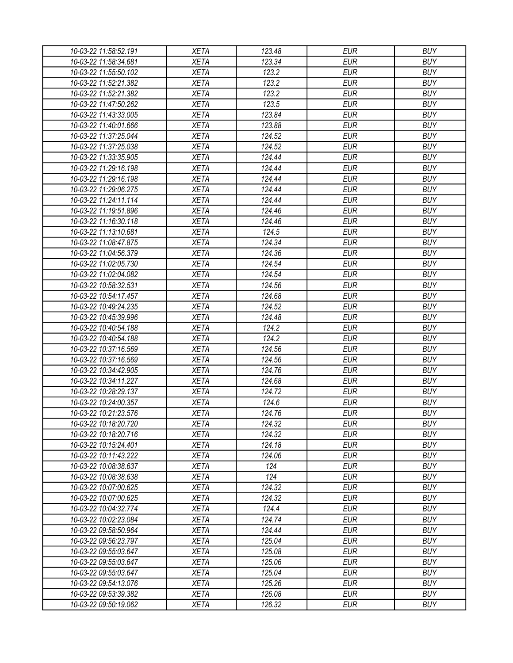| 10-03-22 11:58:52.191 | XETA        | 123.48 | <b>EUR</b> | <b>BUY</b> |
|-----------------------|-------------|--------|------------|------------|
| 10-03-22 11:58:34.681 | <b>XETA</b> | 123.34 | <b>EUR</b> | <b>BUY</b> |
| 10-03-22 11:55:50.102 | <b>XETA</b> | 123.2  | <b>EUR</b> | <b>BUY</b> |
| 10-03-22 11:52:21.382 | <b>XETA</b> | 123.2  | <b>EUR</b> | <b>BUY</b> |
| 10-03-22 11:52:21.382 | <b>XETA</b> | 123.2  | <b>EUR</b> | <b>BUY</b> |
| 10-03-22 11:47:50.262 | <b>XETA</b> | 123.5  | <b>EUR</b> | <b>BUY</b> |
| 10-03-22 11:43:33.005 | <b>XETA</b> | 123.84 | <b>EUR</b> | <b>BUY</b> |
| 10-03-22 11:40:01.666 | <b>XETA</b> | 123.88 | <b>EUR</b> | <b>BUY</b> |
| 10-03-22 11:37:25.044 | <b>XETA</b> | 124.52 | <b>EUR</b> | <b>BUY</b> |
| 10-03-22 11:37:25.038 | <b>XETA</b> | 124.52 | <b>EUR</b> | <b>BUY</b> |
| 10-03-22 11:33:35.905 | <b>XETA</b> | 124.44 | <b>EUR</b> | <b>BUY</b> |
| 10-03-22 11:29:16.198 | <b>XETA</b> | 124.44 | <b>EUR</b> | <b>BUY</b> |
| 10-03-22 11:29:16.198 | <b>XETA</b> | 124.44 | <b>EUR</b> | <b>BUY</b> |
| 10-03-22 11:29:06.275 | <b>XETA</b> | 124.44 | <b>EUR</b> | <b>BUY</b> |
| 10-03-22 11:24:11.114 | <b>XETA</b> | 124.44 | <b>EUR</b> | <b>BUY</b> |
| 10-03-22 11:19:51.896 | <b>XETA</b> | 124.46 | <b>EUR</b> | <b>BUY</b> |
| 10-03-22 11:16:30.118 | <b>XETA</b> | 124.46 | <b>EUR</b> | <b>BUY</b> |
| 10-03-22 11:13:10.681 | <b>XETA</b> | 124.5  | <b>EUR</b> | <b>BUY</b> |
| 10-03-22 11:08:47.875 | <b>XETA</b> | 124.34 | <b>EUR</b> | <b>BUY</b> |
| 10-03-22 11:04:56.379 | <b>XETA</b> | 124.36 | <b>EUR</b> | <b>BUY</b> |
| 10-03-22 11:02:05.730 | <b>XETA</b> | 124.54 | <b>EUR</b> | <b>BUY</b> |
| 10-03-22 11:02:04.082 | <b>XETA</b> | 124.54 | <b>EUR</b> | <b>BUY</b> |
|                       |             |        | <b>EUR</b> | <b>BUY</b> |
| 10-03-22 10:58:32.531 | <b>XETA</b> | 124.56 |            |            |
| 10-03-22 10:54:17.457 | <b>XETA</b> | 124.68 | <b>EUR</b> | <b>BUY</b> |
| 10-03-22 10:49:24.235 | <b>XETA</b> | 124.52 | <b>EUR</b> | <b>BUY</b> |
| 10-03-22 10:45:39.996 | <b>XETA</b> | 124.48 | <b>EUR</b> | <b>BUY</b> |
| 10-03-22 10:40:54.188 | <b>XETA</b> | 124.2  | <b>EUR</b> | <b>BUY</b> |
| 10-03-22 10:40:54.188 | <b>XETA</b> | 124.2  | <b>EUR</b> | <b>BUY</b> |
| 10-03-22 10:37:16.569 | <b>XETA</b> | 124.56 | <b>EUR</b> | <b>BUY</b> |
| 10-03-22 10:37:16.569 | <b>XETA</b> | 124.56 | <b>EUR</b> | <b>BUY</b> |
| 10-03-22 10:34:42.905 | <b>XETA</b> | 124.76 | <b>EUR</b> | <b>BUY</b> |
| 10-03-22 10:34:11.227 | <b>XETA</b> | 124.68 | <b>EUR</b> | <b>BUY</b> |
| 10-03-22 10:28:29.137 | <b>XETA</b> | 124.72 | <b>EUR</b> | <b>BUY</b> |
| 10-03-22 10:24:00.357 | <b>XETA</b> | 124.6  | <b>EUR</b> | <b>BUY</b> |
| 10-03-22 10:21:23.576 | <b>XETA</b> | 124.76 | <b>EUR</b> | <b>BUY</b> |
| 10-03-22 10:18:20.720 | <b>XETA</b> | 124.32 | <b>EUR</b> | <b>BUY</b> |
| 10-03-22 10:18:20.716 | <b>XETA</b> | 124.32 | <b>EUR</b> | <b>BUY</b> |
| 10-03-22 10:15:24.401 | <b>XETA</b> | 124.18 | <b>EUR</b> | <b>BUY</b> |
| 10-03-22 10:11:43.222 | <b>XETA</b> | 124.06 | <b>EUR</b> | <b>BUY</b> |
| 10-03-22 10:08:38.637 | <b>XETA</b> | 124    | <b>EUR</b> | <b>BUY</b> |
| 10-03-22 10:08:38.638 | <b>XETA</b> | 124    | <b>EUR</b> | <b>BUY</b> |
| 10-03-22 10:07:00.625 | <b>XETA</b> | 124.32 | <b>EUR</b> | <b>BUY</b> |
| 10-03-22 10:07:00.625 | <b>XETA</b> | 124.32 | <b>EUR</b> | <b>BUY</b> |
| 10-03-22 10:04:32.774 | <b>XETA</b> | 124.4  | <b>EUR</b> | <b>BUY</b> |
| 10-03-22 10:02:23.084 | <b>XETA</b> | 124.74 | <b>EUR</b> | <b>BUY</b> |
| 10-03-22 09:58:50.964 | <b>XETA</b> | 124.44 | <b>EUR</b> | <b>BUY</b> |
| 10-03-22 09:56:23.797 | <b>XETA</b> | 125.04 | <b>EUR</b> | <b>BUY</b> |
| 10-03-22 09:55:03.647 | <b>XETA</b> | 125.08 | <b>EUR</b> | <b>BUY</b> |
| 10-03-22 09:55:03.647 | <b>XETA</b> | 125.06 | <b>EUR</b> | <b>BUY</b> |
| 10-03-22 09:55:03.647 | <b>XETA</b> | 125.04 | <b>EUR</b> | <b>BUY</b> |
| 10-03-22 09:54:13.076 | <b>XETA</b> | 125.26 | EUR        | <b>BUY</b> |
| 10-03-22 09:53:39.382 | <b>XETA</b> | 126.08 | <b>EUR</b> | <b>BUY</b> |
| 10-03-22 09:50:19.062 | XETA        | 126.32 | <b>EUR</b> | <b>BUY</b> |
|                       |             |        |            |            |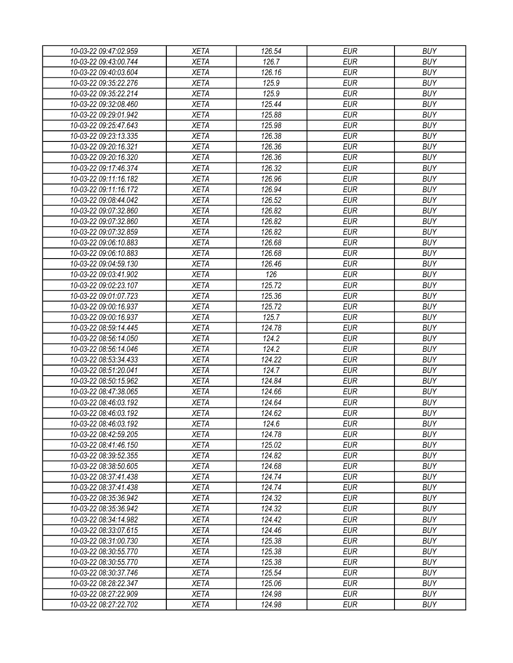| 10-03-22 09:47:02.959 | <b>XETA</b> | 126.54 | <b>EUR</b> | <b>BUY</b> |
|-----------------------|-------------|--------|------------|------------|
| 10-03-22 09:43:00.744 | <b>XETA</b> | 126.7  | <b>EUR</b> | <b>BUY</b> |
| 10-03-22 09:40:03.604 | <b>XETA</b> | 126.16 | <b>EUR</b> | <b>BUY</b> |
| 10-03-22 09:35:22.276 | <b>XETA</b> | 125.9  | <b>EUR</b> | <b>BUY</b> |
| 10-03-22 09:35:22.214 | <b>XETA</b> | 125.9  | <b>EUR</b> | <b>BUY</b> |
| 10-03-22 09:32:08.460 | <b>XETA</b> | 125.44 | <b>EUR</b> | <b>BUY</b> |
| 10-03-22 09:29:01.942 | <b>XETA</b> | 125.88 | <b>EUR</b> | <b>BUY</b> |
| 10-03-22 09:25:47.643 | <b>XETA</b> | 125.98 | <b>EUR</b> | <b>BUY</b> |
| 10-03-22 09:23:13.335 | <b>XETA</b> | 126.38 | <b>EUR</b> | <b>BUY</b> |
| 10-03-22 09:20:16.321 | <b>XETA</b> | 126.36 | <b>EUR</b> | <b>BUY</b> |
| 10-03-22 09:20:16.320 | <b>XETA</b> | 126.36 | <b>EUR</b> | <b>BUY</b> |
| 10-03-22 09:17:46.374 | <b>XETA</b> | 126.32 | <b>EUR</b> | <b>BUY</b> |
| 10-03-22 09:11:16.182 | <b>XETA</b> | 126.96 | <b>EUR</b> | <b>BUY</b> |
| 10-03-22 09:11:16.172 | <b>XETA</b> | 126.94 | <b>EUR</b> | <b>BUY</b> |
| 10-03-22 09:08:44.042 | <b>XETA</b> | 126.52 | <b>EUR</b> | <b>BUY</b> |
| 10-03-22 09:07:32.860 | <b>XETA</b> | 126.82 | <b>EUR</b> | <b>BUY</b> |
| 10-03-22 09:07:32.860 | <b>XETA</b> | 126.82 | <b>EUR</b> | <b>BUY</b> |
| 10-03-22 09:07:32.859 | <b>XETA</b> | 126.82 | <b>EUR</b> | <b>BUY</b> |
| 10-03-22 09:06:10.883 | <b>XETA</b> | 126.68 | <b>EUR</b> | <b>BUY</b> |
| 10-03-22 09:06:10.883 | <b>XETA</b> | 126.68 | <b>EUR</b> | <b>BUY</b> |
| 10-03-22 09:04:59.130 | <b>XETA</b> | 126.46 | <b>EUR</b> | <b>BUY</b> |
| 10-03-22 09:03:41.902 | <b>XETA</b> | 126    | <b>EUR</b> | <b>BUY</b> |
|                       | <b>XETA</b> | 125.72 | <b>EUR</b> | <b>BUY</b> |
| 10-03-22 09:02:23.107 |             |        | <b>EUR</b> | <b>BUY</b> |
| 10-03-22 09:01:07.723 | <b>XETA</b> | 125.36 |            |            |
| 10-03-22 09:00:16.937 | <b>XETA</b> | 125.72 | <b>EUR</b> | <b>BUY</b> |
| 10-03-22 09:00:16.937 | <b>XETA</b> | 125.7  | <b>EUR</b> | <b>BUY</b> |
| 10-03-22 08:59:14.445 | <b>XETA</b> | 124.78 | <b>EUR</b> | <b>BUY</b> |
| 10-03-22 08:56:14.050 | <b>XETA</b> | 124.2  | <b>EUR</b> | <b>BUY</b> |
| 10-03-22 08:56:14.046 | <b>XETA</b> | 124.2  | <b>EUR</b> | <b>BUY</b> |
| 10-03-22 08:53:34.433 | <b>XETA</b> | 124.22 | <b>EUR</b> | <b>BUY</b> |
| 10-03-22 08:51:20.041 | <b>XETA</b> | 124.7  | <b>EUR</b> | <b>BUY</b> |
| 10-03-22 08:50:15.962 | <b>XETA</b> | 124.84 | <b>EUR</b> | <b>BUY</b> |
| 10-03-22 08:47:38.065 | <b>XETA</b> | 124.66 | <b>EUR</b> | <b>BUY</b> |
| 10-03-22 08:46:03.192 | <b>XETA</b> | 124.64 | <b>EUR</b> | <b>BUY</b> |
| 10-03-22 08:46:03.192 | <b>XETA</b> | 124.62 | <b>EUR</b> | <b>BUY</b> |
| 10-03-22 08:46:03.192 | <b>XETA</b> | 124.6  | <b>EUR</b> | <b>BUY</b> |
| 10-03-22 08:42:59.205 | <b>XETA</b> | 124.78 | <b>EUR</b> | <b>BUY</b> |
| 10-03-22 08:41:46.150 | <b>XETA</b> | 125.02 | <b>EUR</b> | <b>BUY</b> |
| 10-03-22 08:39:52.355 | <b>XETA</b> | 124.82 | <b>EUR</b> | <b>BUY</b> |
| 10-03-22 08:38:50.605 | <b>XETA</b> | 124.68 | <b>EUR</b> | <b>BUY</b> |
| 10-03-22 08:37:41.438 | <b>XETA</b> | 124.74 | <b>EUR</b> | <b>BUY</b> |
| 10-03-22 08:37:41.438 | <b>XETA</b> | 124.74 | <b>EUR</b> | <b>BUY</b> |
| 10-03-22 08:35:36.942 | <b>XETA</b> | 124.32 | <b>EUR</b> | <b>BUY</b> |
| 10-03-22 08:35:36.942 | <b>XETA</b> | 124.32 | <b>EUR</b> | <b>BUY</b> |
| 10-03-22 08:34:14.982 | <b>XETA</b> | 124.42 | <b>EUR</b> | <b>BUY</b> |
| 10-03-22 08:33:07.615 | <b>XETA</b> | 124.46 | <b>EUR</b> | <b>BUY</b> |
| 10-03-22 08:31:00.730 | <b>XETA</b> | 125.38 | <b>EUR</b> | <b>BUY</b> |
| 10-03-22 08:30:55.770 | <b>XETA</b> | 125.38 | <b>EUR</b> | <b>BUY</b> |
| 10-03-22 08:30:55.770 | <b>XETA</b> | 125.38 | <b>EUR</b> | <b>BUY</b> |
| 10-03-22 08:30:37.746 | <b>XETA</b> | 125.54 | <b>EUR</b> | <b>BUY</b> |
| 10-03-22 08:28:22.347 | <b>XETA</b> | 125.06 | EUR        | <b>BUY</b> |
| 10-03-22 08:27:22.909 | XETA        | 124.98 | <b>EUR</b> | <b>BUY</b> |
| 10-03-22 08:27:22.702 | <b>XETA</b> | 124.98 | <b>EUR</b> | <b>BUY</b> |